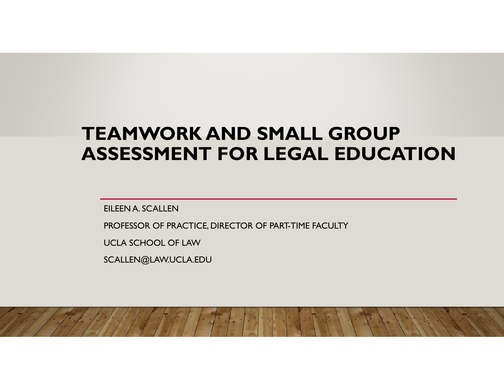# **TEAMWORK AND SMALL GROUP ASSESSMENT FOR LEGAL EDUCATION**

EILEEN A. SCALLEN

PROFESSOR OF PRACTICE, DIRECTOR OF PART-TIME FACULTY

UCLA SCHOOL OF LAW

SCALLEN@LAW.UCLA.EDU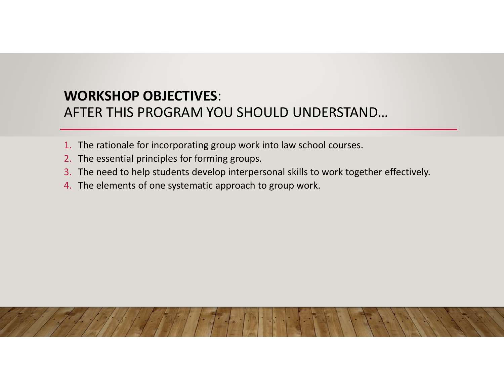#### **WORKSHOP OBJECTIVES**: AFTER THIS PROGRAM YOU SHOULD UNDERSTAND…

- 1. The rationale for incorporating group work into law school courses.
- 2. The essential principles for forming groups.
- 3. The need to help students develop interpersonal skills to work together effectively.
- 4. The elements of one systematic approach to group work.

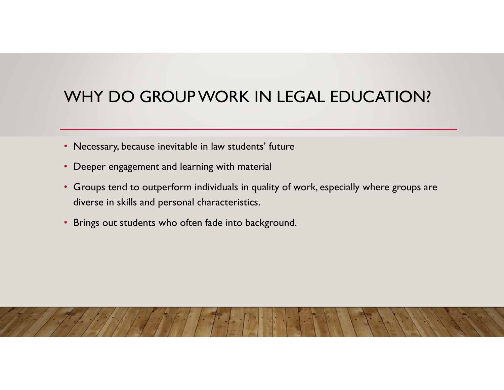# WHY DO GROUP WORK IN LEGAL EDUCATION?

- Necessary, because inevitable in law students' future
- Deeper engagement and learning with material
- Groups tend to outperform individuals in quality of work, especially where groups are diverse in skills and personal characteristics.
- Brings out students who often fade into background.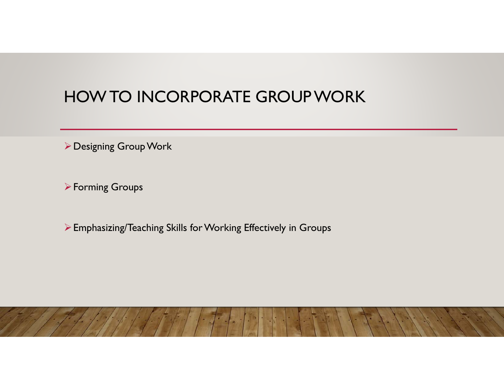#### HOW TO INCORPORATE GROUP WORK

Designing Group Work

Forming Groups

Emphasizing/Teaching Skills for Working Effectively in Groups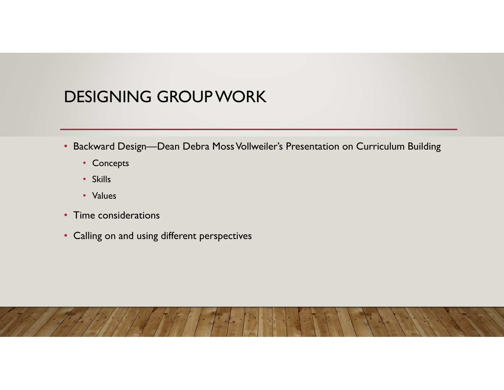## DESIGNING GROUP WORK

- Backward Design—Dean Debra Moss Vollweiler's Presentation on Curriculum Building
	- Concepts
	- Skills
	- Values
- Time considerations
- Calling on and using different perspectives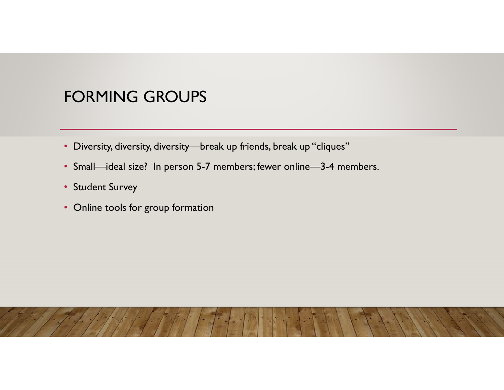#### FORMING GROUPS

- Diversity, diversity, diversity—break up friends, break up "cliques"
- Small—ideal size? In person 5-7 members; fewer online—3-4 members.
- Student Survey
- Online tools for group formation

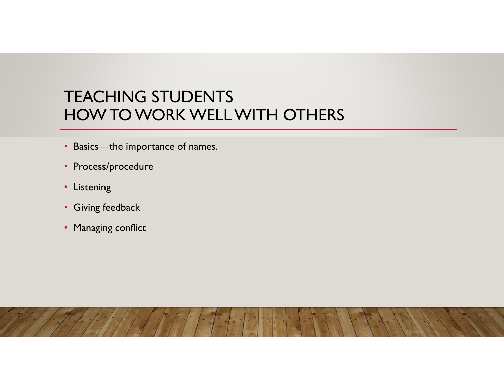#### TEACHING STUDENTS HOW TO WORK WELL WITH OTHERS

- Basics—the importance of names.
- Process/procedure
- Listening
- Giving feedback
- Managing conflict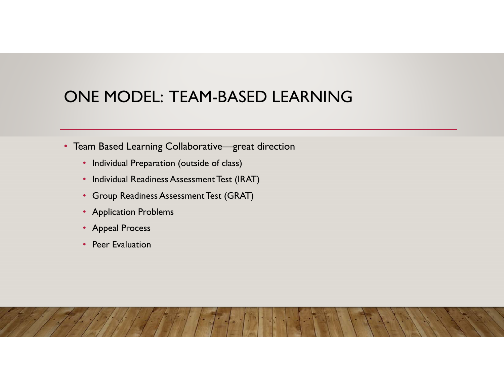## ONE MODEL: TEAM-BASED LEARNING

- Team Based Learning Collaborative—great direction
	- Individual Preparation (outside of class)
	- Individual Readiness Assessment Test (IRAT)
	- Group Readiness Assessment Test (GRAT)
	- Application Problems
	- Appeal Process
	- Peer Evaluation